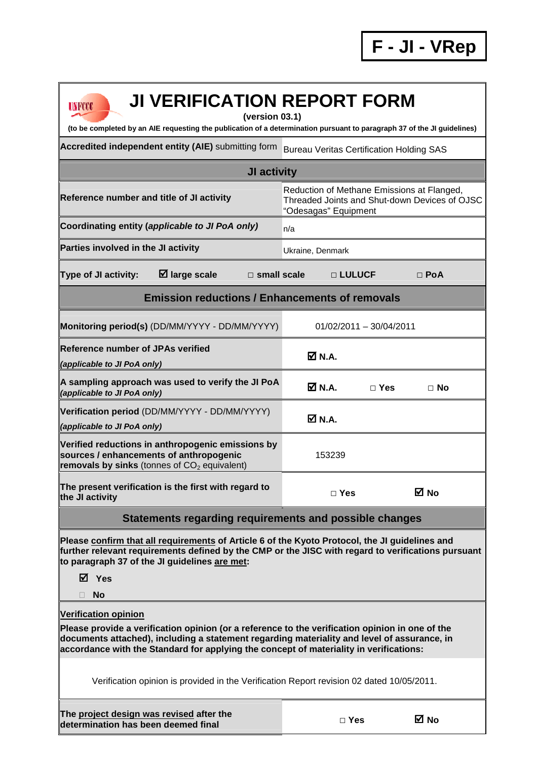| <b>JI VERIFICATION REPORT FORM</b><br>UNFCCC<br>(version 03.1)<br>(to be completed by an AIE requesting the publication of a determination pursuant to paragraph 37 of the JI guidelines)                                                                                                                               |                                                                                                                     |  |  |  |  |  |  |
|-------------------------------------------------------------------------------------------------------------------------------------------------------------------------------------------------------------------------------------------------------------------------------------------------------------------------|---------------------------------------------------------------------------------------------------------------------|--|--|--|--|--|--|
| Accredited independent entity (AIE) submitting form                                                                                                                                                                                                                                                                     | <b>Bureau Veritas Certification Holding SAS</b>                                                                     |  |  |  |  |  |  |
| <b>JI activity</b>                                                                                                                                                                                                                                                                                                      |                                                                                                                     |  |  |  |  |  |  |
| Reference number and title of JI activity                                                                                                                                                                                                                                                                               | Reduction of Methane Emissions at Flanged,<br>Threaded Joints and Shut-down Devices of OJSC<br>"Odesagas" Equipment |  |  |  |  |  |  |
| Coordinating entity (applicable to JI PoA only)                                                                                                                                                                                                                                                                         | n/a                                                                                                                 |  |  |  |  |  |  |
| Parties involved in the JI activity                                                                                                                                                                                                                                                                                     | Ukraine, Denmark                                                                                                    |  |  |  |  |  |  |
| $\boxtimes$ large scale<br>Type of JI activity:<br>$\square$ small scale                                                                                                                                                                                                                                                | □ LULUCF<br>$\Box$ PoA                                                                                              |  |  |  |  |  |  |
| <b>Emission reductions / Enhancements of removals</b>                                                                                                                                                                                                                                                                   |                                                                                                                     |  |  |  |  |  |  |
| Monitoring period(s) (DD/MM/YYYY - DD/MM/YYYY)                                                                                                                                                                                                                                                                          | $01/02/2011 - 30/04/2011$                                                                                           |  |  |  |  |  |  |
| <b>Reference number of JPAs verified</b><br>(applicable to JI PoA only)                                                                                                                                                                                                                                                 | ØN.A.                                                                                                               |  |  |  |  |  |  |
| A sampling approach was used to verify the JI PoA<br>(applicable to JI PoA only)                                                                                                                                                                                                                                        | $\boxtimes$ N.A.<br>$\Box$ Yes<br>⊟ No                                                                              |  |  |  |  |  |  |
| Verification period (DD/MM/YYYY - DD/MM/YYYY)<br>(applicable to JI PoA only)                                                                                                                                                                                                                                            | ØN.A.                                                                                                               |  |  |  |  |  |  |
| Verified reductions in anthropogenic emissions by<br>sources / enhancements of anthropogenic<br>removals by sinks (tonnes of $CO2$ equivalent)                                                                                                                                                                          | 153239                                                                                                              |  |  |  |  |  |  |
| The present verification is the first with regard to<br>the JI activity                                                                                                                                                                                                                                                 | ⊠ No<br>$\Box$ Yes                                                                                                  |  |  |  |  |  |  |
| Statements regarding requirements and possible changes                                                                                                                                                                                                                                                                  |                                                                                                                     |  |  |  |  |  |  |
| Please confirm that all requirements of Article 6 of the Kyoto Protocol, the JI guidelines and<br>further relevant requirements defined by the CMP or the JISC with regard to verifications pursuant<br>to paragraph 37 of the JI guidelines are met:                                                                   |                                                                                                                     |  |  |  |  |  |  |
| <b>⊠</b> Yes                                                                                                                                                                                                                                                                                                            |                                                                                                                     |  |  |  |  |  |  |
| <b>No</b>                                                                                                                                                                                                                                                                                                               |                                                                                                                     |  |  |  |  |  |  |
| <b>Verification opinion</b><br>Please provide a verification opinion (or a reference to the verification opinion in one of the<br>documents attached), including a statement regarding materiality and level of assurance, in<br>accordance with the Standard for applying the concept of materiality in verifications: |                                                                                                                     |  |  |  |  |  |  |
| Verification opinion is provided in the Verification Report revision 02 dated 10/05/2011.                                                                                                                                                                                                                               |                                                                                                                     |  |  |  |  |  |  |
| The project design was revised after the<br>determination has been deemed final                                                                                                                                                                                                                                         | ⊠ No<br>$\square$ Yes                                                                                               |  |  |  |  |  |  |